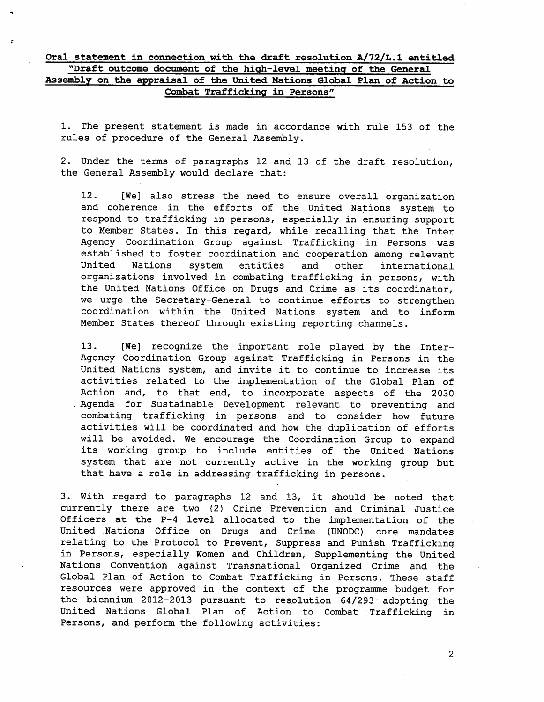## Oral statement in connection with the draft resolution A/72/L.1 entitled "Draft outcome document of the high-level meeting of the General Assembly on the appraisal of the United Nations Global Plan of Action to Combat Trafficking in Persons"

1. The present statement is made in accordance with rule 153 of the rules of procedure of the General Assembly.

2. Under the terms of paragraphs 12 and 13 of the draft resolution, the General Assembly would declare that:

12. [We] also stress the need to ensure overall organization and coherence in the efforts of the United Nations system to respond to trafficking in persons, especially in ensuring support to Member States. In this regard, while recalling that the Inter Agency Coordination Group against Trafficking in Persons was established to foster coordination and cooperation among relevant<br>United Nations system entities and other international United Nations system entities and other international organizations involved in combating trafficking in persons, with the United Nations Office on Drugs and Crime as its coordinator, we urge the Secretary-General to continue efforts to strengthen coordination within the United Nations system and to inform Member States thereof through existing reporting channels.

13. [We] recognize the important role played by the Inter-Agency Coordination Group against Trafficking in Persons in the United Nations system, and invite it to continue to increase its activities related to the implementation of the Global Plan of Action and, to that end, to incorporate aspects of the 2030 . Agenda for Sustainable Development relevant to preventing and combating trafficking in persons and to consider how future activities will be coordinated and how the duplication of efforts will be avoided. We encourage the Coordination Group to expand its working group to include entities of the United Nations system that are not currently active in the working group but that have <sup>a</sup> role in addressing trafficking in persons.

3. With regard to paragraphs <sup>12</sup> and 13, it should be noted that currently there are two (2) Crime Prevention and Criminal Justice Officers at the P-4 level allocated to the implementation of the United Nations Office on Drugs and Crime (UNODC) core mandates relating to the Protocol to Prevent, Suppress and Punish Trafficking in Persons, especially Women and Children, Supplementing the United Nations Convention against Transnational Organized Crime and the Global Plan of Action to Combat Trafficking in Persons. These staff resources were approved in the context of the programme budget for the biennium 2012-2013 pursuant to resolution 64/293 adopting the United Nations Global Plan of Action to Combat Trafficking in Persons, and perform the following activities:

 $\overline{2}$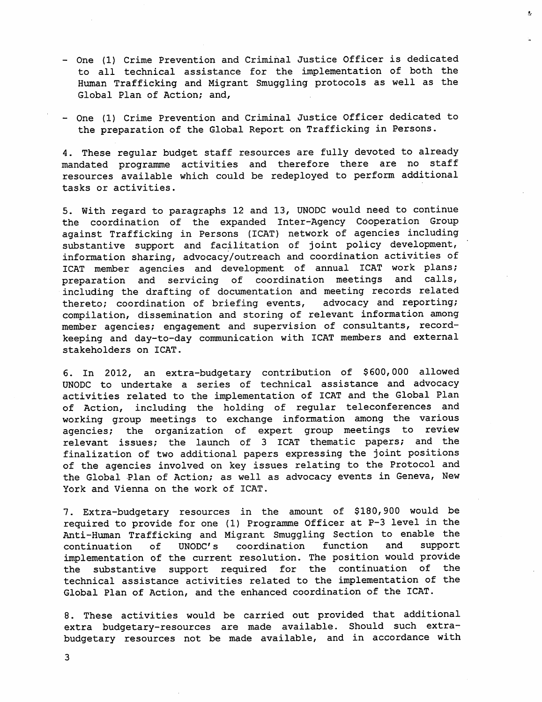- One (1) Crime Prevention and Criminal Justice Officer is dedicated to all technical assistance for the implementation of both the Human Trafficking and Migrant Smuggling protocols as well as the Global Plan of Action; and,
- One (1) Crime Prevention and Criminal Justice Officer dedicated to the preparation of the Global Report on Trafficking in Persons.

4. These regular budget staff resources are fully devoted to already mandated programme activities and therefore there are no staff resources available which could be redeployed to perform additional tasks or activities.

5. With regard to paragraphs 12 and 13, UNODC would need to continue the coordination of the expanded Inter-Agency Cooperation Group against Trafficking in Persons (ICAT) network of agencies including substantive support and facilitation of joint policy development, information sharing, advocacy/outreach and coordination activities of ICAT member agencies and development of annual ICAT work plans; preparation and servicing of coordination meetings and calls, including the drafting of documentation and meeting records related<br>thereto: coordination of briefing events, advocacy and reporting; thereto; coordination of briefing events, compilation, dissemination and storing of relevant information among member agencies; engagement and supervision of consultants, recordkeeping and day-to-day communication with ICAT members and external stakeholders on ICAT.

6. In 2012, an extra-budgetary contribution of \$600,000 allowed UNODC to undertake <sup>a</sup> series of technical assistance and advocacy activities related to the implementation of ICAT and the Global Plan of Action, including the holding of regular teleconferences and working group meetings to exchange information among the various agencies; the organization of expert group meetings to review relevant issues; the launch of <sup>3</sup> ICAT thematic papers; and the finalization of two additional papers expressing the joint positions of the agencies involved on key issues relating to the Protocol and the Global Plan of Action; as well as advocacy events in Geneva, New York and Vienna on the work of ICAT.

7. Extra-budgetary resources in the amount of \$180,900 would be required to provide for one (1) Programme Officer at P-3 level in the Anti-Human Trafficking and Migrant Smuggling Section to enable the<br>continuation of UNODC's coordination function and support  $continuation$  of UNODC's coordination function implementation of the current resolution. The position would provide the substantive support required for the continuation of the technical assistance activities related to the implementation of the Global Plan of Action, and the enhanced coordination of the ICAT.

8. These activities would be carried out provided that additional extra budgetary-resources are made available. Should such extrabudgetary resources not be made available, and in accordance with